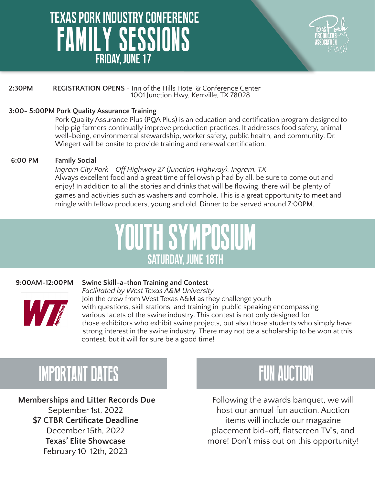## **Friday, June 17** FAMILY SESSIONS  **Texas Pork Industry Conference**



#### **2:30PM REGISTRATION OPENS** - Inn of the Hills Hotel & Conference Center 1001 Junction Hwy, Kerrville, TX 78028

#### **3:00- 5:00PM Pork Quality Assurance Training**

Pork Quality Assurance Plus (PQA Plus) is an education and certification program designed to help pig farmers continually improve production practices. It addresses food safety, animal well-being, environmental stewardship, worker safety, public health, and community. Dr. Wiegert will be onsite to provide training and renewal certification.

#### **6:00 PM Family Social**

*Ingram City Park - Off Highway 27 (Junction Highway), Ingram, TX* Always excellent food and a great time of fellowship had by all, be sure to come out and enjoy! In addition to all the stories and drinks that will be flowing, there will be plenty of games and activities such as washers and cornhole. This is a great opportunity to meet and mingle with fellow producers, young and old. Dinner to be served around 7:00PM.

# YOUTH SYMPOSIUM **Saturday, June 18th**

#### **9:00AM-12:00PM Swine Skill-a-thon Training and Contest**



*Facilitated by West Texas A&M University* Join the crew from West Texas A&M as they challenge youth with questions, skill stations, and training in public speaking encompassing various facets of the swine industry. This contest is not only designed for those exhibitors who exhibit swine projects, but also those students who simply have strong interest in the swine industry. There may not be a scholarship to be won at this contest, but it will for sure be a good time!

# IMPORTANT DATES **FUN AUCTION**

**Memberships and Litter Records Due** September 1st, 2022 **\$7 CTBR Certificate Deadline** December 15th, 2022 **Texas' Elite Showcase** February 10-12th, 2023



Following the awards banquet, we will host our annual fun auction. Auction items will include our magazine placement bid-off, flatscreen TV's, and more! Don't miss out on this opportunity!